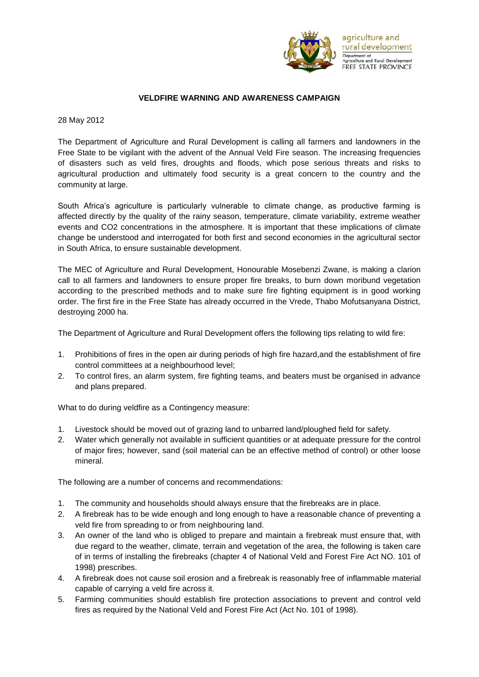

## **VELDFIRE WARNING AND AWARENESS CAMPAIGN**

28 May 2012

The Department of Agriculture and Rural Development is calling all farmers and landowners in the Free State to be vigilant with the advent of the Annual Veld Fire season. The increasing frequencies of disasters such as veld fires, droughts and floods, which pose serious threats and risks to agricultural production and ultimately food security is a great concern to the country and the community at large.

South Africa's agriculture is particularly vulnerable to climate change, as productive farming is affected directly by the quality of the rainy season, temperature, climate variability, extreme weather events and CO2 concentrations in the atmosphere. It is important that these implications of climate change be understood and interrogated for both first and second economies in the agricultural sector in South Africa, to ensure sustainable development.

The MEC of Agriculture and Rural Development, Honourable Mosebenzi Zwane, is making a clarion call to all farmers and landowners to ensure proper fire breaks, to burn down moribund vegetation according to the prescribed methods and to make sure fire fighting equipment is in good working order. The first fire in the Free State has already occurred in the Vrede, Thabo Mofutsanyana District, destroying 2000 ha.

The Department of Agriculture and Rural Development offers the following tips relating to wild fire:

- 1. Prohibitions of fires in the open air during periods of high fire hazard,and the establishment of fire control committees at a neighbourhood level;
- 2. To control fires, an alarm system, fire fighting teams, and beaters must be organised in advance and plans prepared.

What to do during veldfire as a Contingency measure:

- 1. Livestock should be moved out of grazing land to unbarred land/ploughed field for safety.
- 2. Water which generally not available in sufficient quantities or at adequate pressure for the control of major fires; however, sand (soil material can be an effective method of control) or other loose mineral.

The following are a number of concerns and recommendations:

- 1. The community and households should always ensure that the firebreaks are in place.
- 2. A firebreak has to be wide enough and long enough to have a reasonable chance of preventing a veld fire from spreading to or from neighbouring land.
- 3. An owner of the land who is obliged to prepare and maintain a firebreak must ensure that, with due regard to the weather, climate, terrain and vegetation of the area, the following is taken care of in terms of installing the firebreaks (chapter 4 of National Veld and Forest Fire Act NO. 101 of 1998) prescribes.
- 4. A firebreak does not cause soil erosion and a firebreak is reasonably free of inflammable material capable of carrying a veld fire across it.
- 5. Farming communities should establish fire protection associations to prevent and control veld fires as required by the National Veld and Forest Fire Act (Act No. 101 of 1998).